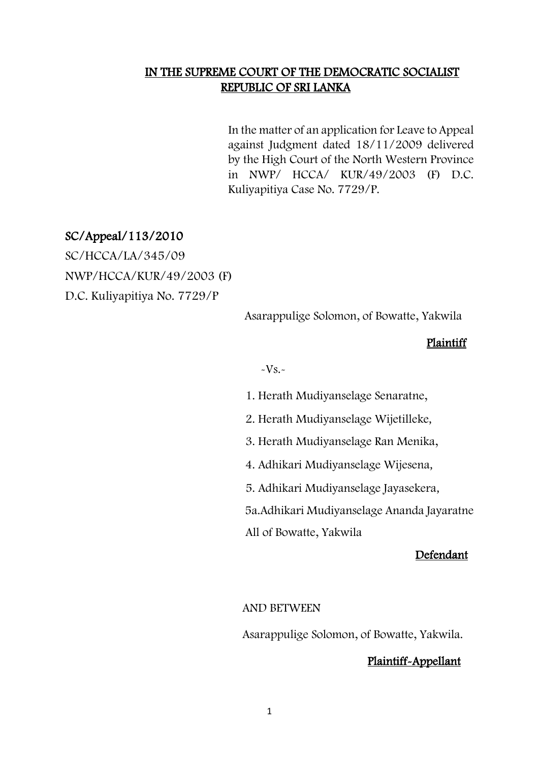## IN THE SUPREME COURT OF THE DEMOCRATIC SOCIALIST REPUBLIC OF SRI LANKA

In the matter of an application for Leave to Appeal against Judgment dated 18/11/2009 delivered by the High Court of the North Western Province in NWP/ HCCA/ KUR/49/2003 (F) D.C. Kuliyapitiya Case No. 7729/P.

## SC/Appeal/113/2010

SC/HCCA/LA/345/09 NWP/HCCA/KUR/49/2003 (F) D.C. Kuliyapitiya No. 7729/P

Asarappulige Solomon, of Bowatte, Yakwila

### Plaintiff

 $-Vs.$ 

1. Herath Mudiyanselage Senaratne,

2. Herath Mudiyanselage Wijetilleke,

3. Herath Mudiyanselage Ran Menika,

4. Adhikari Mudiyanselage Wijesena,

5. Adhikari Mudiyanselage Jayasekera,

5a.Adhikari Mudiyanselage Ananda Jayaratne

All of Bowatte, Yakwila

#### Defendant

### AND BETWEEN

Asarappulige Solomon, of Bowatte, Yakwila.

### Plaintiff-Appellant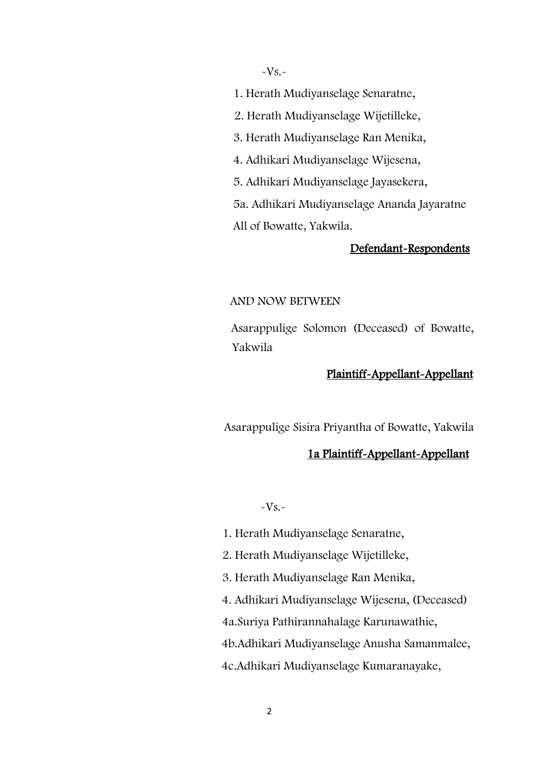$-Vs.$ 

1. Herath Mudiyanselage Senaratne,

2. Herath Mudiyanselage Wijetilleke,

3. Herath Mudiyanselage Ran Menika,

4. Adhikari Mudiyanselage Wijesena,

5. Adhikari Mudiyanselage Jayasekera,

 5a. Adhikari Mudiyanselage Ananda Jayaratne All of Bowatte, Yakwila.

### Defendant-Respondents

#### AND NOW BETWEEN

 Asarappulige Solomon (Deceased) of Bowatte, Yakwila

## Plaintiff-Appellant-Appellant

Asarappulige Sisira Priyantha of Bowatte, Yakwila

### 1a Plaintiff-Appellant-Appellant

 $-Vs.$ 

- 1. Herath Mudiyanselage Senaratne,
- 2. Herath Mudiyanselage Wijetilleke,
- 3. Herath Mudiyanselage Ran Menika,
- 4. Adhikari Mudiyanselage Wijesena, (Deceased)

4a.Suriya Pathirannahalage Karunawathie,

4b.Adhikari Mudiyanselage Anusha Samanmalee,

4c.Adhikari Mudiyanselage Kumaranayake,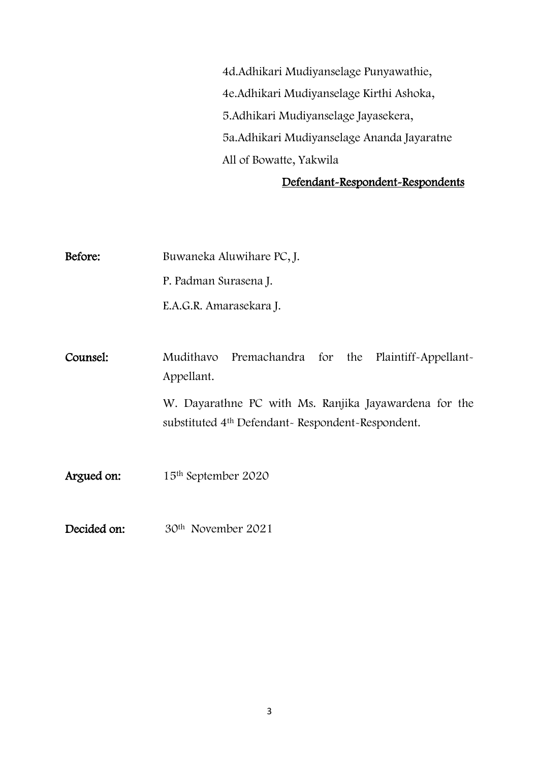4d.Adhikari Mudiyanselage Punyawathie, 4e.Adhikari Mudiyanselage Kirthi Ashoka, 5.Adhikari Mudiyanselage Jayasekera, 5a.Adhikari Mudiyanselage Ananda Jayaratne All of Bowatte, Yakwila

### Defendant-Respondent-Respondents

Before: Buwaneka Aluwihare PC, J. P. Padman Surasena J. E.A.G.R. Amarasekara J. Counsel: Mudithavo Premachandra for the Plaintiff-Appellant-Appellant. W. Dayarathne PC with Ms. Ranjika Jayawardena for the substituted 4th Defendant- Respondent-Respondent. Argued on: 15<sup>th</sup> September 2020

Decided on: 30<sup>th</sup> November 2021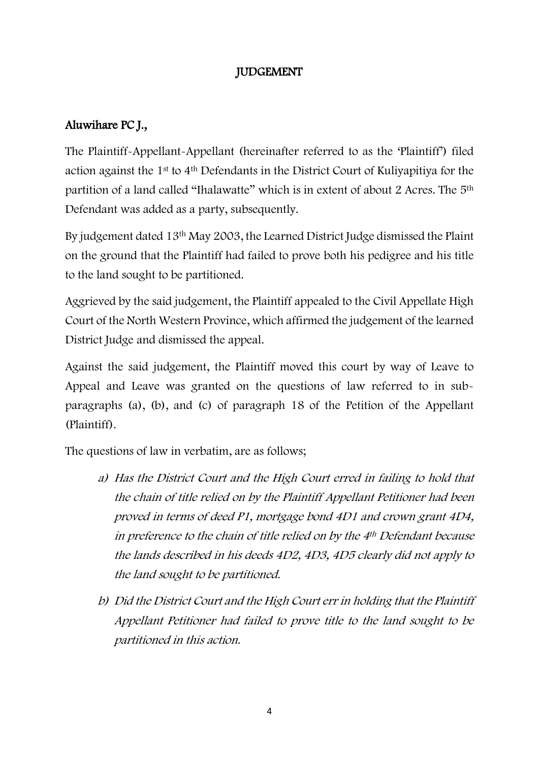# JUDGEMENT

# Aluwihare PC J.,

The Plaintiff-Appellant-Appellant (hereinafter referred to as the 'Plaintiff') filed action against the 1st to 4th Defendants in the District Court of Kuliyapitiya for the partition of a land called "Ihalawatte" which is in extent of about 2 Acres. The 5th Defendant was added as a party, subsequently.

By judgement dated 13th May 2003, the Learned District Judge dismissed the Plaint on the ground that the Plaintiff had failed to prove both his pedigree and his title to the land sought to be partitioned.

Aggrieved by the said judgement, the Plaintiff appealed to the Civil Appellate High Court of the North Western Province, which affirmed the judgement of the learned District Judge and dismissed the appeal.

Against the said judgement, the Plaintiff moved this court by way of Leave to Appeal and Leave was granted on the questions of law referred to in subparagraphs (a), (b), and (c) of paragraph 18 of the Petition of the Appellant (Plaintiff).

The questions of law in verbatim, are as follows;

- a) Has the District Court and the High Court erred in failing to hold that the chain of title relied on by the Plaintiff Appellant Petitioner had been proved in terms of deed P1, mortgage bond 4D1 and crown grant 4D4, in preference to the chain of title relied on by the 4th Defendant because the lands described in his deeds 4D2, 4D3, 4D5 clearly did not apply to the land sought to be partitioned.
- b) Did the District Court and the High Court err in holding that the Plaintiff Appellant Petitioner had failed to prove title to the land sought to be partitioned in this action.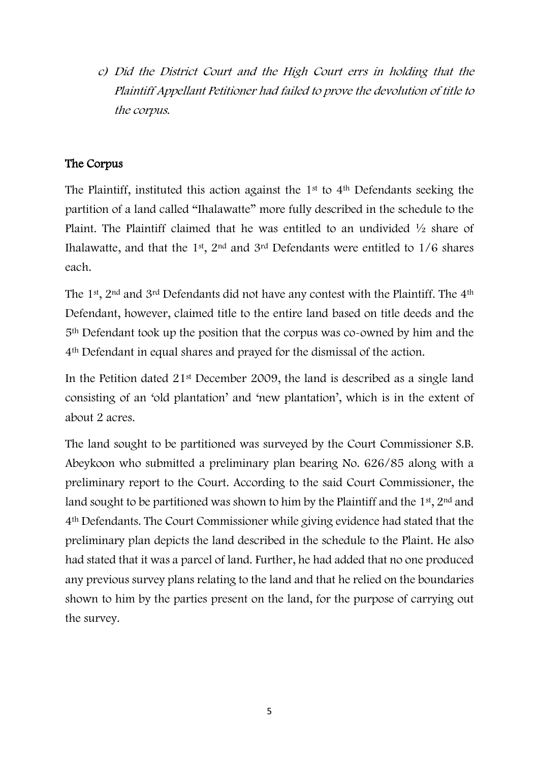c) Did the District Court and the High Court errs in holding that the Plaintiff Appellant Petitioner had failed to prove the devolution of title to the corpus.

## The Corpus

The Plaintiff, instituted this action against the 1<sup>st</sup> to 4<sup>th</sup> Defendants seeking the partition of a land called "Ihalawatte" more fully described in the schedule to the Plaint. The Plaintiff claimed that he was entitled to an undivided ½ share of Ihalawatte, and that the 1<sup>st</sup>, 2<sup>nd</sup> and 3<sup>rd</sup> Defendants were entitled to  $1/6$  shares each.

The 1st, 2nd and 3rd Defendants did not have any contest with the Plaintiff. The 4th Defendant, however, claimed title to the entire land based on title deeds and the 5th Defendant took up the position that the corpus was co-owned by him and the 4th Defendant in equal shares and prayed for the dismissal of the action.

In the Petition dated 21st December 2009, the land is described as a single land consisting of an 'old plantation' and 'new plantation', which is in the extent of about 2 acres.

The land sought to be partitioned was surveyed by the Court Commissioner S.B. Abeykoon who submitted a preliminary plan bearing No. 626/85 along with a preliminary report to the Court. According to the said Court Commissioner, the land sought to be partitioned was shown to him by the Plaintiff and the  $1<sup>st</sup>$ ,  $2<sup>nd</sup>$  and 4th Defendants. The Court Commissioner while giving evidence had stated that the preliminary plan depicts the land described in the schedule to the Plaint. He also had stated that it was a parcel of land. Further, he had added that no one produced any previous survey plans relating to the land and that he relied on the boundaries shown to him by the parties present on the land, for the purpose of carrying out the survey.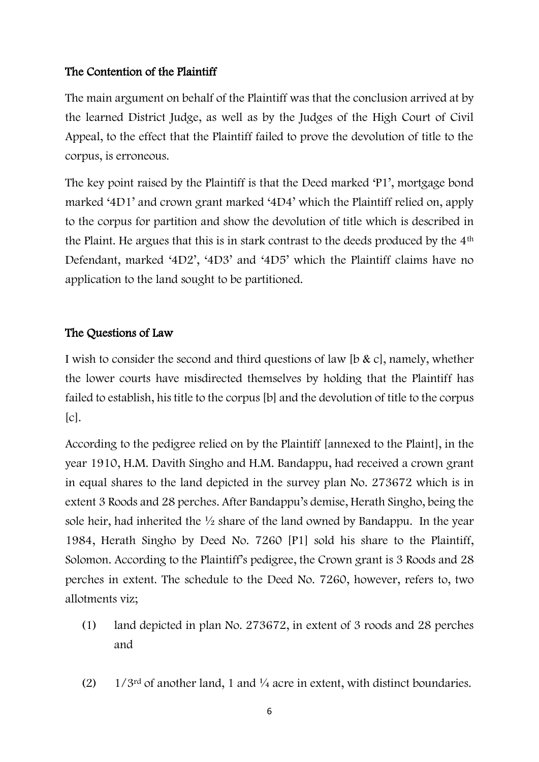# The Contention of the Plaintiff

The main argument on behalf of the Plaintiff was that the conclusion arrived at by the learned District Judge, as well as by the Judges of the High Court of Civil Appeal, to the effect that the Plaintiff failed to prove the devolution of title to the corpus, is erroneous.

The key point raised by the Plaintiff is that the Deed marked 'P1', mortgage bond marked '4D1' and crown grant marked '4D4' which the Plaintiff relied on, apply to the corpus for partition and show the devolution of title which is described in the Plaint. He argues that this is in stark contrast to the deeds produced by the 4th Defendant, marked '4D2', '4D3' and '4D5' which the Plaintiff claims have no application to the land sought to be partitioned.

# The Questions of Law

I wish to consider the second and third questions of law [b & c], namely, whether the lower courts have misdirected themselves by holding that the Plaintiff has failed to establish, his title to the corpus [b] and the devolution of title to the corpus  $[c]$ .

According to the pedigree relied on by the Plaintiff [annexed to the Plaint], in the year 1910, H.M. Davith Singho and H.M. Bandappu, had received a crown grant in equal shares to the land depicted in the survey plan No. 273672 which is in extent 3 Roods and 28 perches. After Bandappu's demise, Herath Singho, being the sole heir, had inherited the ½ share of the land owned by Bandappu. In the year 1984, Herath Singho by Deed No. 7260 [P1] sold his share to the Plaintiff, Solomon. According to the Plaintiff's pedigree, the Crown grant is 3 Roods and 28 perches in extent. The schedule to the Deed No. 7260, however, refers to, two allotments viz;

- (1) land depicted in plan No. 273672, in extent of 3 roods and 28 perches and
- (2)  $1/3^{rd}$  of another land, 1 and  $\frac{1}{4}$  acre in extent, with distinct boundaries.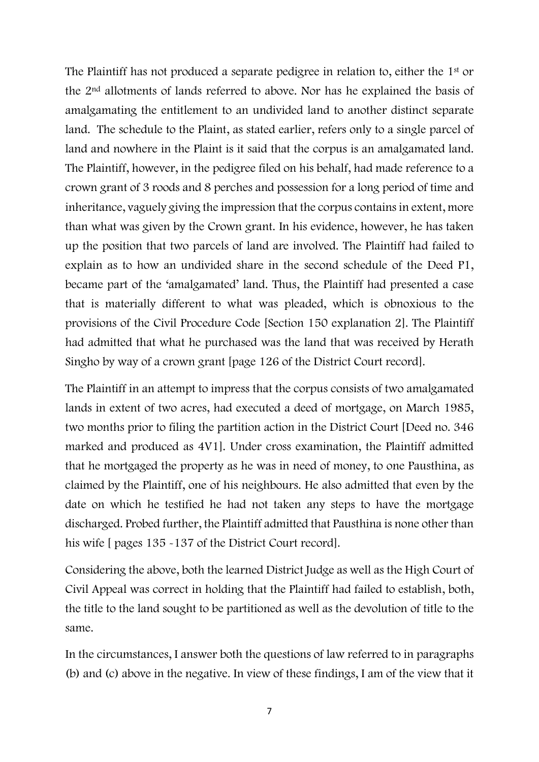The Plaintiff has not produced a separate pedigree in relation to, either the 1st or the 2nd allotments of lands referred to above. Nor has he explained the basis of amalgamating the entitlement to an undivided land to another distinct separate land. The schedule to the Plaint, as stated earlier, refers only to a single parcel of land and nowhere in the Plaint is it said that the corpus is an amalgamated land. The Plaintiff, however, in the pedigree filed on his behalf, had made reference to a crown grant of 3 roods and 8 perches and possession for a long period of time and inheritance, vaguely giving the impression that the corpus contains in extent, more than what was given by the Crown grant. In his evidence, however, he has taken up the position that two parcels of land are involved. The Plaintiff had failed to explain as to how an undivided share in the second schedule of the Deed P1, became part of the 'amalgamated' land. Thus, the Plaintiff had presented a case that is materially different to what was pleaded, which is obnoxious to the provisions of the Civil Procedure Code [Section 150 explanation 2]. The Plaintiff had admitted that what he purchased was the land that was received by Herath Singho by way of a crown grant [page 126 of the District Court record].

The Plaintiff in an attempt to impress that the corpus consists of two amalgamated lands in extent of two acres, had executed a deed of mortgage, on March 1985, two months prior to filing the partition action in the District Court [Deed no. 346 marked and produced as 4V1]. Under cross examination, the Plaintiff admitted that he mortgaged the property as he was in need of money, to one Pausthina, as claimed by the Plaintiff, one of his neighbours. He also admitted that even by the date on which he testified he had not taken any steps to have the mortgage discharged. Probed further, the Plaintiff admitted that Pausthina is none other than his wife [ pages 135 -137 of the District Court record].

Considering the above, both the learned District Judge as well as the High Court of Civil Appeal was correct in holding that the Plaintiff had failed to establish, both, the title to the land sought to be partitioned as well as the devolution of title to the same.

In the circumstances, I answer both the questions of law referred to in paragraphs (b) and (c) above in the negative. In view of these findings, I am of the view that it